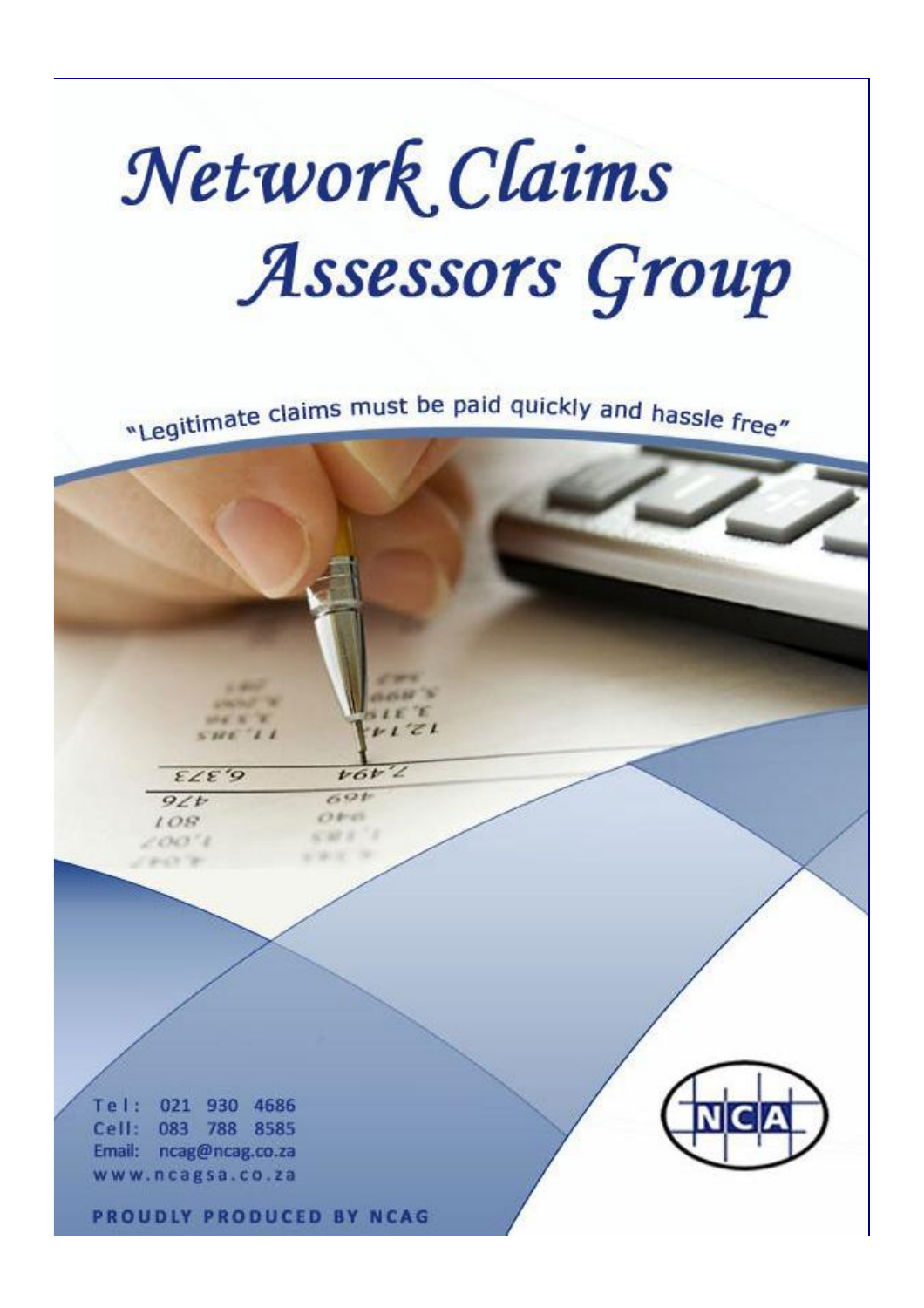# Network Claims Assessors Group

"Legitimate claims must be paid quickly and hassle free"

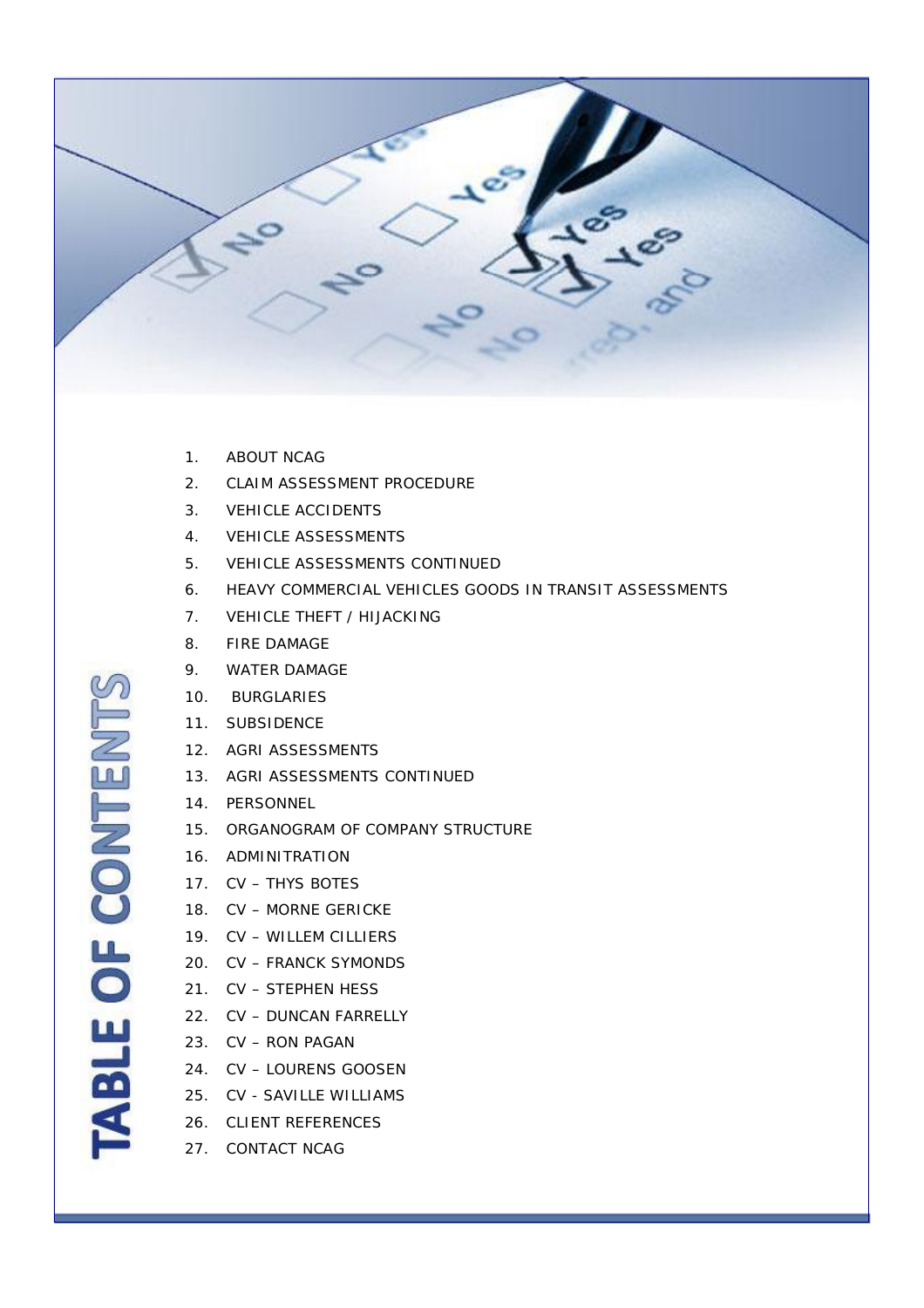

- 1. ABOUT NCAG
- 2. CLAIM ASSESSMENT PROCEDURE
- 3. VEHICLE ACCIDENTS
- 4. VEHICLE ASSESSMENTS
- 5. VEHICLE ASSESSMENTS CONTINUED
- 6. HEAVY COMMERCIAL VEHICLES GOODS IN TRANSIT ASSESSMENTS
- 7. VEHICLE THEFT / HIJACKING
- 8. FIRE DAMAGE
- 9. WATER DAMAGE
- 10. BURGLARIES
- 11. SUBSIDENCE
- 12. AGRI ASSESSMENTS
- 13. AGRI ASSESSMENTS CONTINUED
- 14. PERSONNEL
- 15. ORGANOGRAM OF COMPANY STRUCTURE
- 16. ADMINITRATION
- 17. CV THYS BOTES
- 18. CV MORNE GERICKE
- 19. CV WILLEM CILLIERS
- 20. CV FRANCK SYMONDS
- 21. CV STEPHEN HESS
- 22. CV DUNCAN FARRELLY
- 23. CV RON PAGAN
- 24. CV LOURENS GOOSEN
- 25. CV SAVILLE WILLIAMS
- 26. CLIENT REFERENCES
- 27. CONTACT NCAG

ABLE OF CONTENT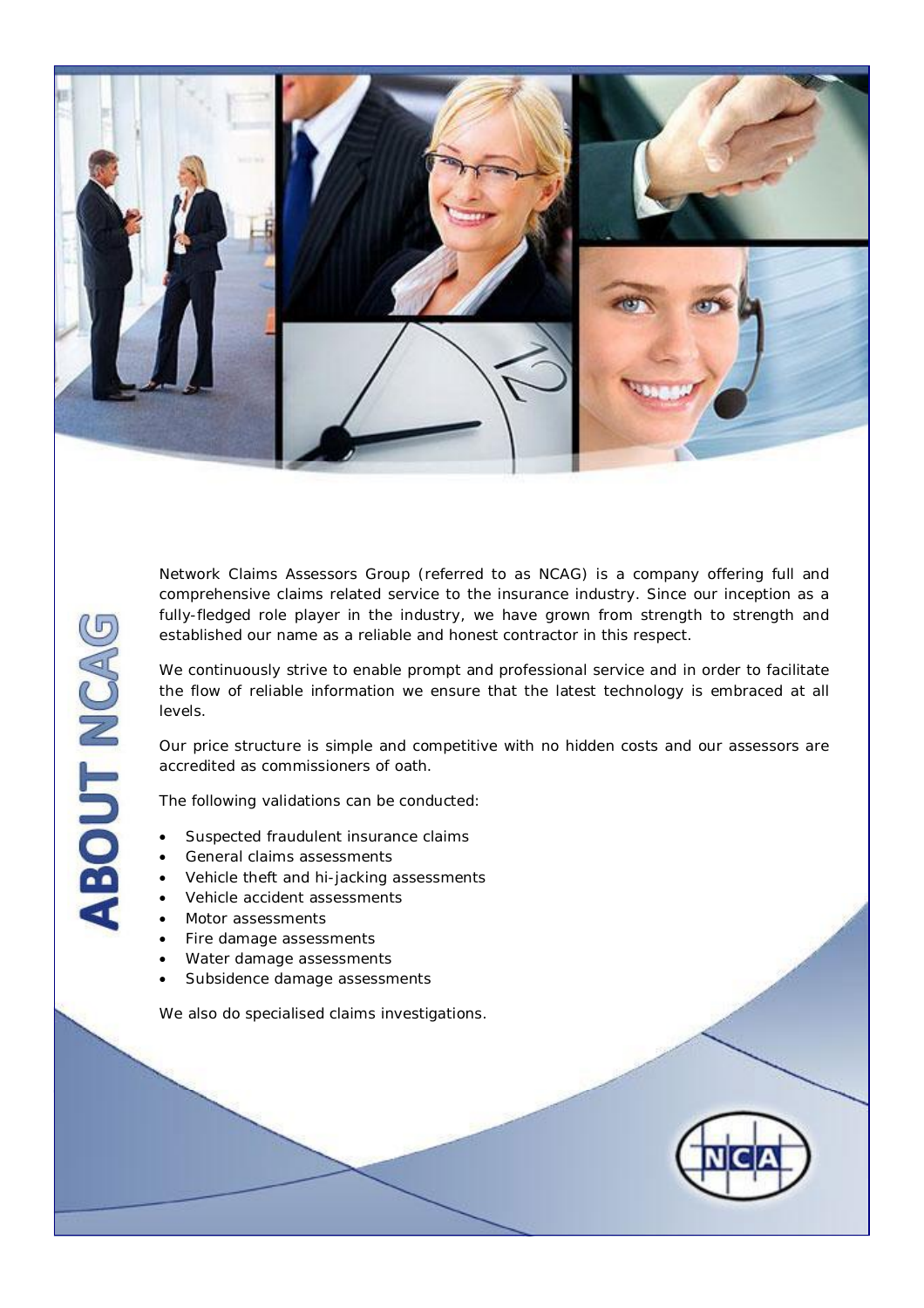

Network Claims Assessors Group (referred to as NCAG) is a company offering full and comprehensive claims related service to the insurance industry. Since our inception as a fully-fledged role player in the industry, we have grown from strength to strength and established our name as a reliable and honest contractor in this respect.

We continuously strive to enable prompt and professional service and in order to facilitate the flow of reliable information we ensure that the latest technology is embraced at all levels.

Our price structure is simple and competitive with no hidden costs and our assessors are accredited as commissioners of oath.

The following validations can be conducted:

- Suspected fraudulent insurance claims
- General claims assessments
- Vehicle theft and hi-jacking assessments
- Vehicle accident assessments
- Motor assessments

**ABOUT NCAG** 

- Fire damage assessments
- Water damage assessments
- Subsidence damage assessments

We also do specialised claims investigations.

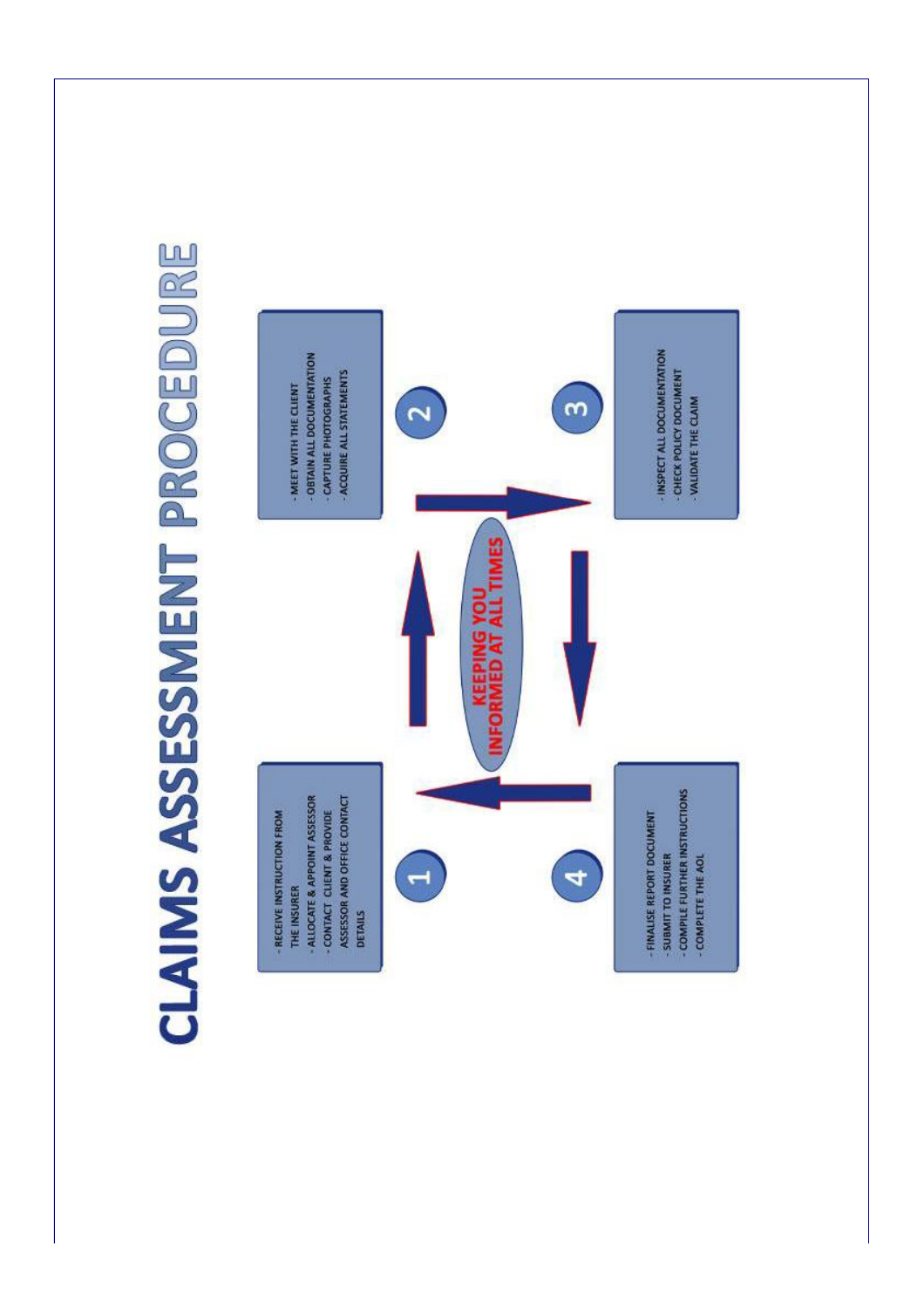

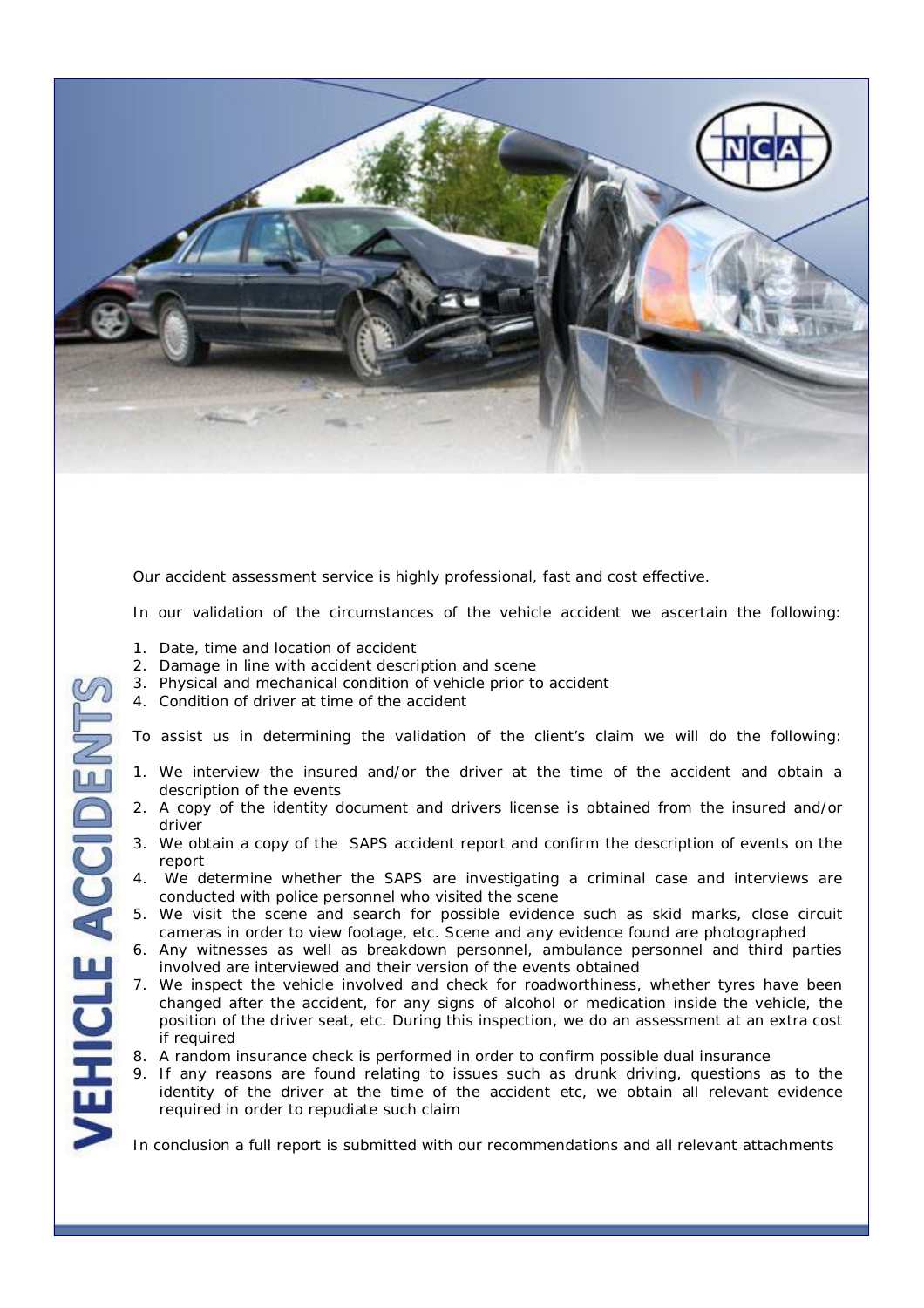

Our accident assessment service is highly professional, fast and cost effective.

In our validation of the circumstances of the vehicle accident we ascertain the following:

1. Date, time and location of accident

**HICLE ACCIDEN** 

- 2. Damage in line with accident description and scene
- 3. Physical and mechanical condition of vehicle prior to accident
- 4. Condition of driver at time of the accident

To assist us in determining the validation of the client's claim we will do the following:

- 1. We interview the insured and/or the driver at the time of the accident and obtain a description of the events
- 2. A copy of the identity document and drivers license is obtained from the insured and/or driver
- 3. We obtain a copy of the SAPS accident report and confirm the description of events on the report
- 4. We determine whether the SAPS are investigating a criminal case and interviews are conducted with police personnel who visited the scene
- 5. We visit the scene and search for possible evidence such as skid marks, close circuit cameras in order to view footage, etc. Scene and any evidence found are photographed
- 6. Any witnesses as well as breakdown personnel, ambulance personnel and third parties involved are interviewed and their version of the events obtained
- 7. We inspect the vehicle involved and check for roadworthiness, whether tyres have been changed after the accident, for any signs of alcohol or medication inside the vehicle, the position of the driver seat, etc. During this inspection, we do an assessment at an extra cost if required
- 8. A random insurance check is performed in order to confirm possible dual insurance
- 9. If any reasons are found relating to issues such as drunk driving, questions as to the identity of the driver at the time of the accident etc, we obtain all relevant evidence required in order to repudiate such claim

In conclusion a full report is submitted with our recommendations and all relevant attachments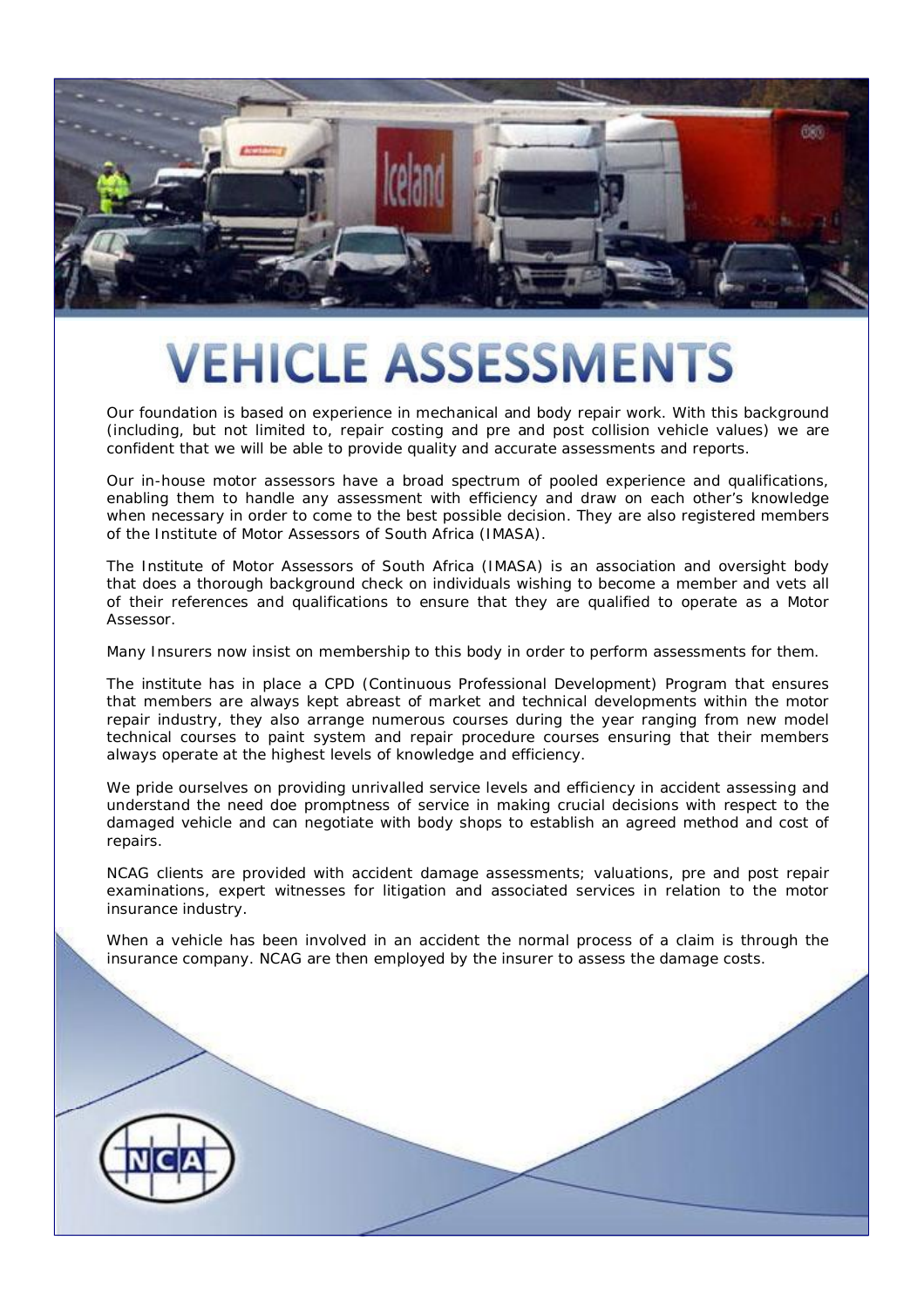

#### **VEHICLE ASSESSMENTS**

Our foundation is based on experience in mechanical and body repair work. With this background (including, but not limited to, repair costing and pre and post collision vehicle values) we are confident that we will be able to provide quality and accurate assessments and reports.

Our in-house motor assessors have a broad spectrum of pooled experience and qualifications, enabling them to handle any assessment with efficiency and draw on each other's knowledge when necessary in order to come to the best possible decision. They are also registered members of the Institute of Motor Assessors of South Africa (IMASA).

The Institute of Motor Assessors of South Africa (IMASA) is an association and oversight body that does a thorough background check on individuals wishing to become a member and vets all of their references and qualifications to ensure that they are qualified to operate as a Motor Assessor.

Many Insurers now insist on membership to this body in order to perform assessments for them.

The institute has in place a CPD (Continuous Professional Development) Program that ensures that members are always kept abreast of market and technical developments within the motor repair industry, they also arrange numerous courses during the year ranging from new model technical courses to paint system and repair procedure courses ensuring that their members always operate at the highest levels of knowledge and efficiency.

We pride ourselves on providing unrivalled service levels and efficiency in accident assessing and understand the need doe promptness of service in making crucial decisions with respect to the damaged vehicle and can negotiate with body shops to establish an agreed method and cost of repairs.

NCAG clients are provided with accident damage assessments; valuations, pre and post repair examinations, expert witnesses for litigation and associated services in relation to the motor insurance industry.

When a vehicle has been involved in an accident the normal process of a claim is through the insurance company. NCAG are then employed by the insurer to assess the damage costs.

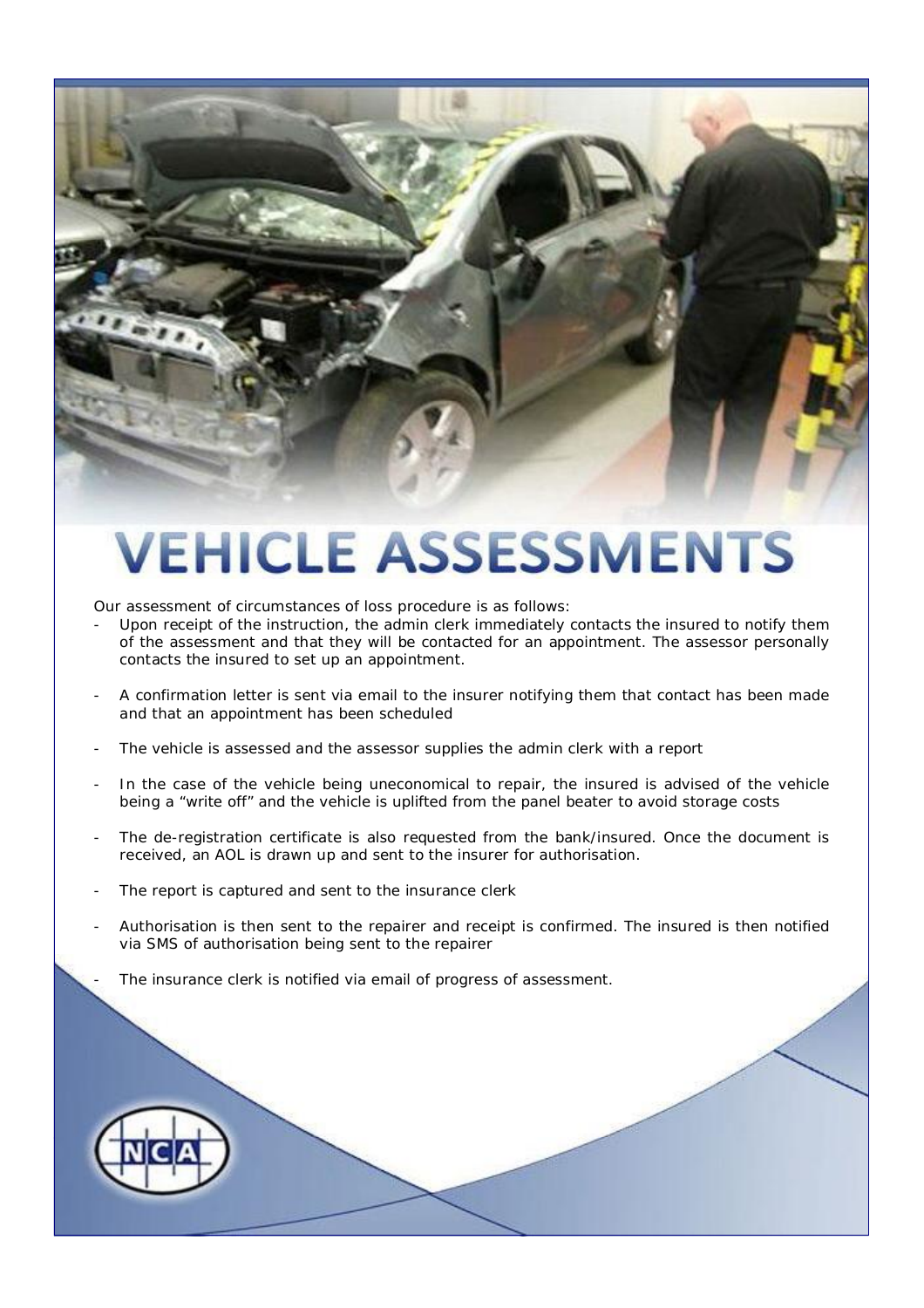## **VEHICLE ASSESSMENTS**

Our assessment of circumstances of loss procedure is as follows:

- Upon receipt of the instruction, the admin clerk immediately contacts the insured to notify them of the assessment and that they will be contacted for an appointment. The assessor personally contacts the insured to set up an appointment.
- A confirmation letter is sent via email to the insurer notifying them that contact has been made and that an appointment has been scheduled
- The vehicle is assessed and the assessor supplies the admin clerk with a report
- In the case of the vehicle being uneconomical to repair, the insured is advised of the vehicle being a "write off" and the vehicle is uplifted from the panel beater to avoid storage costs
- The de-registration certificate is also requested from the bank/insured. Once the document is received, an AOL is drawn up and sent to the insurer for authorisation.
- The report is captured and sent to the insurance clerk
- Authorisation is then sent to the repairer and receipt is confirmed. The insured is then notified via SMS of authorisation being sent to the repairer
	- The insurance clerk is notified via email of progress of assessment.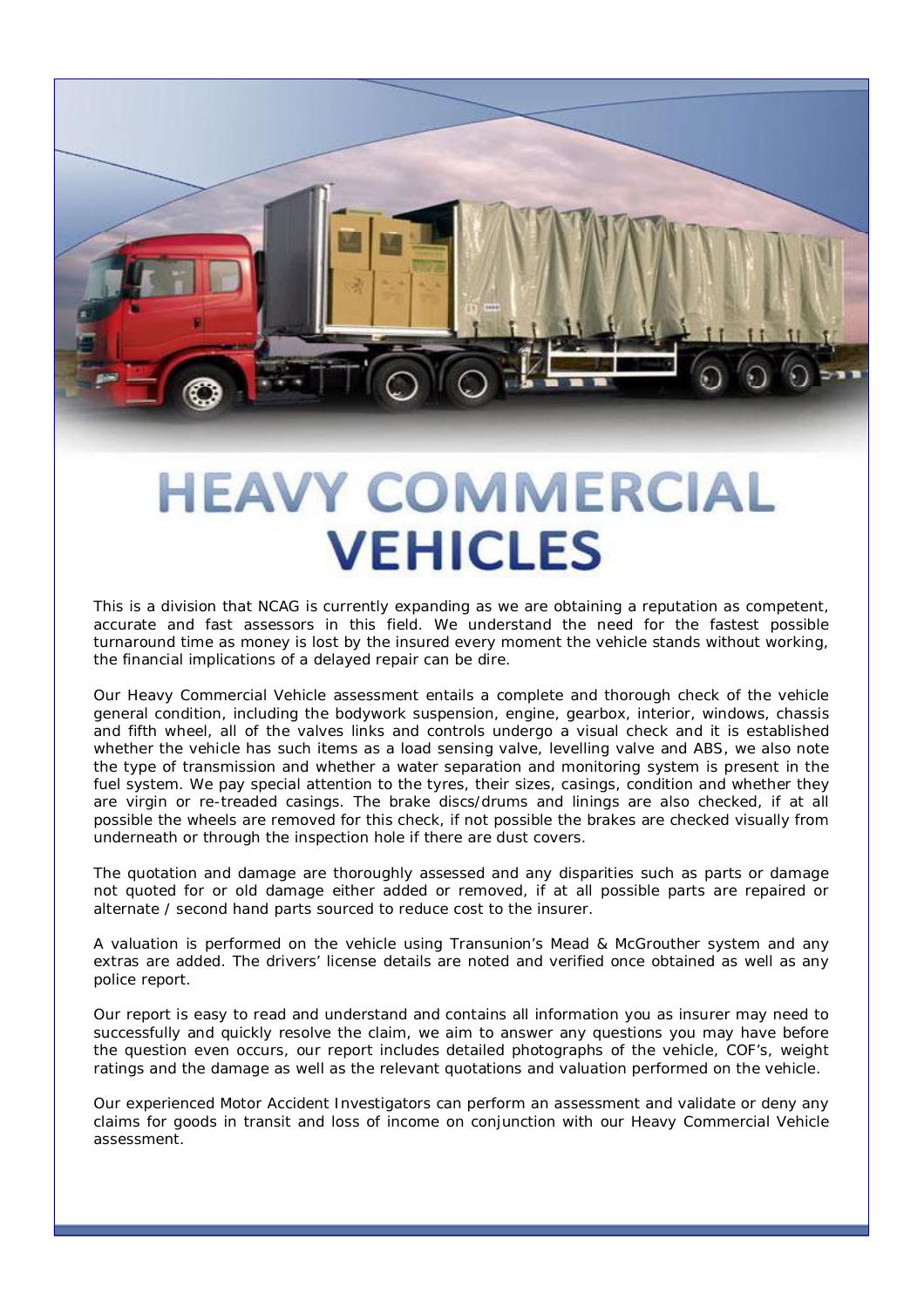#### **HEAVY COMMERCIAL VEHICLES**

This is a division that NCAG is currently expanding as we are obtaining a reputation as competent, accurate and fast assessors in this field. We understand the need for the fastest possible turnaround time as money is lost by the insured every moment the vehicle stands without working, the financial implications of a delayed repair can be dire.

Our Heavy Commercial Vehicle assessment entails a complete and thorough check of the vehicle general condition, including the bodywork suspension, engine, gearbox, interior, windows, chassis and fifth wheel, all of the valves links and controls undergo a visual check and it is established whether the vehicle has such items as a load sensing valve, levelling valve and ABS, we also note the type of transmission and whether a water separation and monitoring system is present in the fuel system. We pay special attention to the tyres, their sizes, casings, condition and whether they are virgin or re-treaded casings. The brake discs/drums and linings are also checked, if at all possible the wheels are removed for this check, if not possible the brakes are checked visually from underneath or through the inspection hole if there are dust covers.

The quotation and damage are thoroughly assessed and any disparities such as parts or damage not quoted for or old damage either added or removed, if at all possible parts are repaired or alternate / second hand parts sourced to reduce cost to the insurer.

A valuation is performed on the vehicle using Transunion's Mead & McGrouther system and any extras are added. The drivers' license details are noted and verified once obtained as well as any police report.

Our report is easy to read and understand and contains all information you as insurer may need to successfully and quickly resolve the claim, we aim to answer any questions you may have before the question even occurs, our report includes detailed photographs of the vehicle, COF's, weight ratings and the damage as well as the relevant quotations and valuation performed on the vehicle.

Our experienced Motor Accident Investigators can perform an assessment and validate or deny any claims for goods in transit and loss of income on conjunction with our Heavy Commercial Vehicle assessment.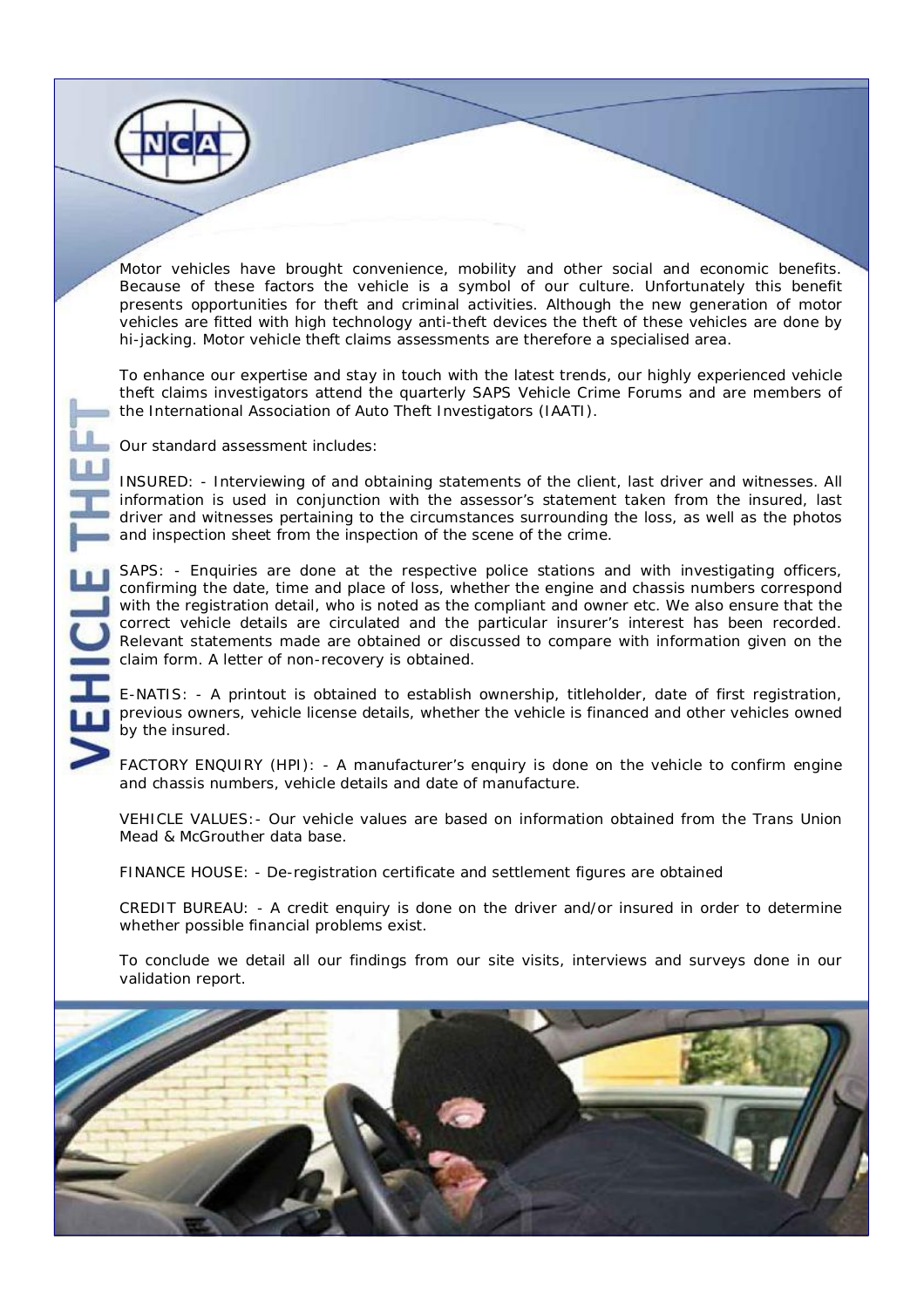Motor vehicles have brought convenience, mobility and other social and economic benefits. Because of these factors the vehicle is a symbol of our culture. Unfortunately this benefit presents opportunities for theft and criminal activities. Although the new generation of motor vehicles are fitted with high technology anti-theft devices the theft of these vehicles are done by hi-jacking. Motor vehicle theft claims assessments are therefore a specialised area.

To enhance our expertise and stay in touch with the latest trends, our highly experienced vehicle theft claims investigators attend the quarterly SAPS Vehicle Crime Forums and are members of the International Association of Auto Theft Investigators (IAATI).

Our standard assessment includes:

INSURED: - Interviewing of and obtaining statements of the client, last driver and witnesses. All information is used in conjunction with the assessor's statement taken from the insured, last driver and witnesses pertaining to the circumstances surrounding the loss, as well as the photos and inspection sheet from the inspection of the scene of the crime.

SAPS: - Enquiries are done at the respective police stations and with investigating officers, confirming the date, time and place of loss, whether the engine and chassis numbers correspond with the registration detail, who is noted as the compliant and owner etc. We also ensure that the correct vehicle details are circulated and the particular insurer's interest has been recorded. Relevant statements made are obtained or discussed to compare with information given on the claim form. A letter of non-recovery is obtained.

E-NATIS: - A printout is obtained to establish ownership, titleholder, date of first registration, previous owners, vehicle license details, whether the vehicle is financed and other vehicles owned by the insured.

FACTORY ENQUIRY (HPI): - A manufacturer's enquiry is done on the vehicle to confirm engine and chassis numbers, vehicle details and date of manufacture.

VEHICLE VALUES:- Our vehicle values are based on information obtained from the Trans Union Mead & McGrouther data base.

FINANCE HOUSE: - De-registration certificate and settlement figures are obtained

CREDIT BUREAU: - A credit enquiry is done on the driver and/or insured in order to determine whether possible financial problems exist.

To conclude we detail all our findings from our site visits, interviews and surveys done in our validation report.

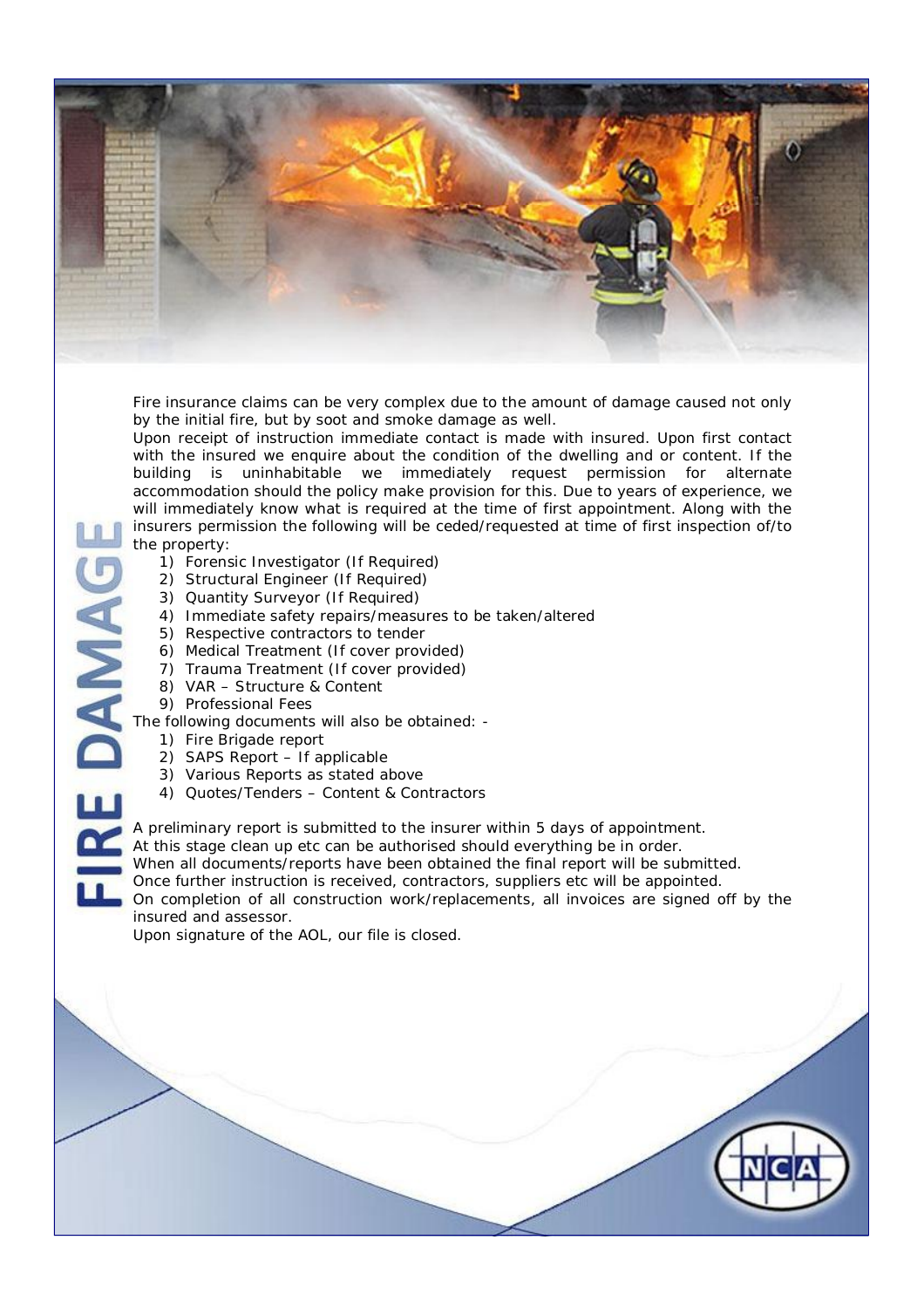

Fire insurance claims can be very complex due to the amount of damage caused not only by the initial fire, but by soot and smoke damage as well.

Upon receipt of instruction immediate contact is made with insured. Upon first contact with the insured we enquire about the condition of the dwelling and or content. If the building is uninhabitable we immediately request permission for alternate accommodation should the policy make provision for this. Due to years of experience, we will immediately know what is required at the time of first appointment. Along with the insurers permission the following will be ceded/requested at time of first inspection of/to the property:

- 1) Forensic Investigator (If Required)
- 2) Structural Engineer (If Required)
- 3) Quantity Surveyor (If Required)
- 4) Immediate safety repairs/measures to be taken/altered
- 5) Respective contractors to tender
- 6) Medical Treatment (If cover provided)
- 7) Trauma Treatment (If cover provided)
- 8) VAR Structure & Content
- 9) Professional Fees

E DAMAG The following documents will also be obtained: -

- 1) Fire Brigade report
- 2) SAPS Report If applicable
- 3) Various Reports as stated above
- 4) Quotes/Tenders Content & Contractors

A preliminary report is submitted to the insurer within 5 days of appointment.

At this stage clean up etc can be authorised should everything be in order.

When all documents/reports have been obtained the final report will be submitted.

Once further instruction is received, contractors, suppliers etc will be appointed.

On completion of all construction work/replacements, all invoices are signed off by the insured and assessor.

Upon signature of the AOL, our file is closed.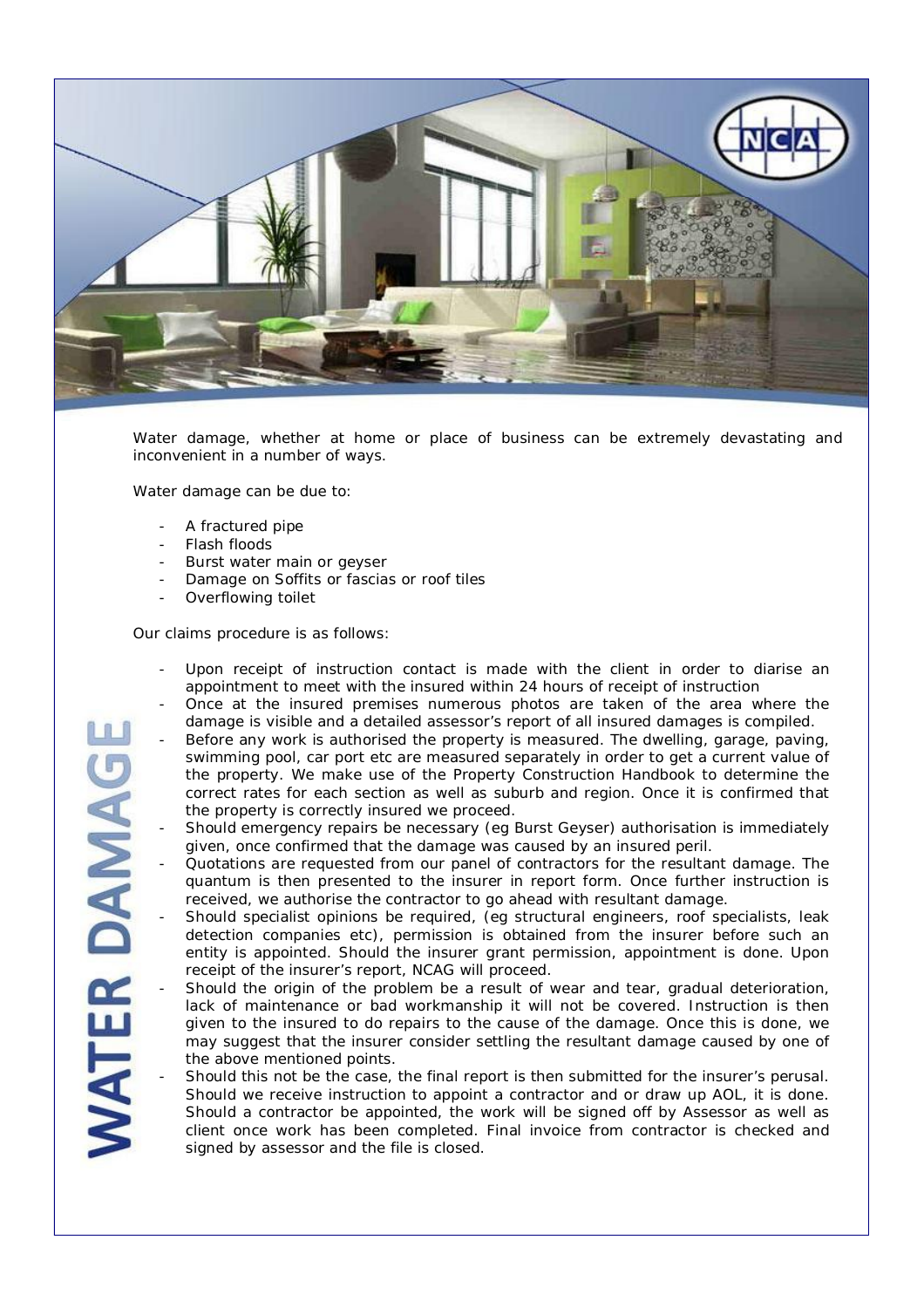

Water damage, whether at home or place of business can be extremely devastating and inconvenient in a number of ways.

Water damage can be due to:

- A fractured pipe
- Flash floods
- Burst water main or geyser
- Damage on Soffits or fascias or roof tiles
- Overflowing toilet

Our claims procedure is as follows:

- Upon receipt of instruction contact is made with the client in order to diarise an appointment to meet with the insured within 24 hours of receipt of instruction
- Once at the insured premises numerous photos are taken of the area where the damage is visible and a detailed assessor's report of all insured damages is compiled.
- Before any work is authorised the property is measured. The dwelling, garage, paving, swimming pool, car port etc are measured separately in order to get a current value of the property. We make use of the Property Construction Handbook to determine the correct rates for each section as well as suburb and region. Once it is confirmed that the property is correctly insured we proceed.
- Should emergency repairs be necessary (eg Burst Geyser) authorisation is immediately given, once confirmed that the damage was caused by an insured peril.
- Quotations are requested from our panel of contractors for the resultant damage. The quantum is then presented to the insurer in report form. Once further instruction is received, we authorise the contractor to go ahead with resultant damage.
- Should specialist opinions be required, (eg structural engineers, roof specialists, leak detection companies etc), permission is obtained from the insurer before such an entity is appointed. Should the insurer grant permission, appointment is done. Upon receipt of the insurer's report, NCAG will proceed.
- Should the origin of the problem be a result of wear and tear, gradual deterioration, lack of maintenance or bad workmanship it will not be covered. Instruction is then given to the insured to do repairs to the cause of the damage. Once this is done, we may suggest that the insurer consider settling the resultant damage caused by one of the above mentioned points.
- Should this not be the case, the final report is then submitted for the insurer's perusal. Should we receive instruction to appoint a contractor and or draw up AOL, it is done. Should a contractor be appointed, the work will be signed off by Assessor as well as client once work has been completed. Final invoice from contractor is checked and signed by assessor and the file is closed.

ER DAMAG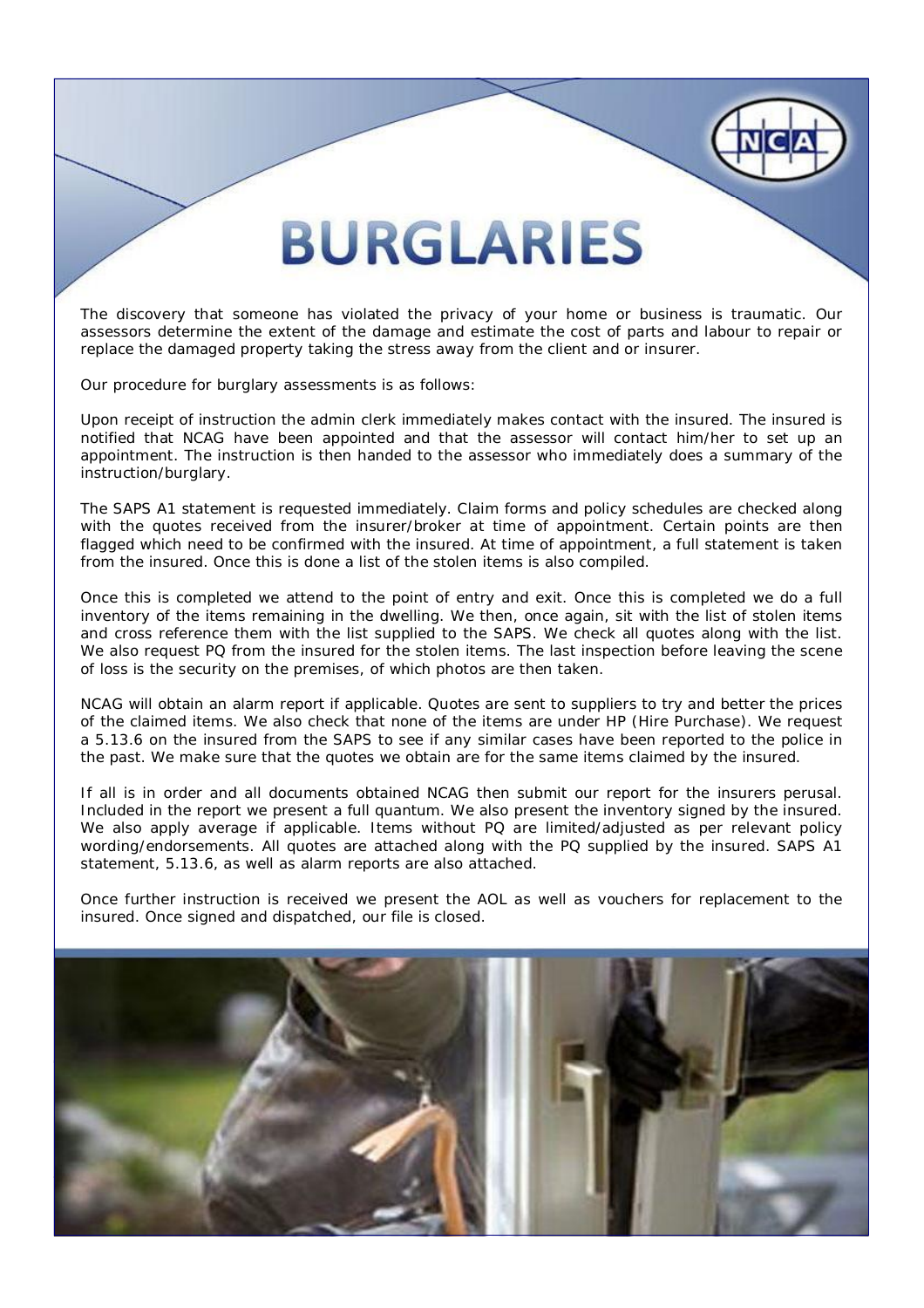## **BURGLARIES**

The discovery that someone has violated the privacy of your home or business is traumatic. Our assessors determine the extent of the damage and estimate the cost of parts and labour to repair or replace the damaged property taking the stress away from the client and or insurer.

Our procedure for burglary assessments is as follows:

Upon receipt of instruction the admin clerk immediately makes contact with the insured. The insured is notified that NCAG have been appointed and that the assessor will contact him/her to set up an appointment. The instruction is then handed to the assessor who immediately does a summary of the instruction/burglary.

The SAPS A1 statement is requested immediately. Claim forms and policy schedules are checked along with the quotes received from the insurer/broker at time of appointment. Certain points are then flagged which need to be confirmed with the insured. At time of appointment, a full statement is taken from the insured. Once this is done a list of the stolen items is also compiled.

Once this is completed we attend to the point of entry and exit. Once this is completed we do a full inventory of the items remaining in the dwelling. We then, once again, sit with the list of stolen items and cross reference them with the list supplied to the SAPS. We check all quotes along with the list. We also request PQ from the insured for the stolen items. The last inspection before leaving the scene of loss is the security on the premises, of which photos are then taken.

NCAG will obtain an alarm report if applicable. Quotes are sent to suppliers to try and better the prices of the claimed items. We also check that none of the items are under HP (Hire Purchase). We request a 5.13.6 on the insured from the SAPS to see if any similar cases have been reported to the police in the past. We make sure that the quotes we obtain are for the same items claimed by the insured.

If all is in order and all documents obtained NCAG then submit our report for the insurers perusal. Included in the report we present a full quantum. We also present the inventory signed by the insured. We also apply average if applicable. Items without PQ are limited/adjusted as per relevant policy wording/endorsements. All quotes are attached along with the PQ supplied by the insured. SAPS A1 statement, 5.13.6, as well as alarm reports are also attached.

Once further instruction is received we present the AOL as well as vouchers for replacement to the insured. Once signed and dispatched, our file is closed.

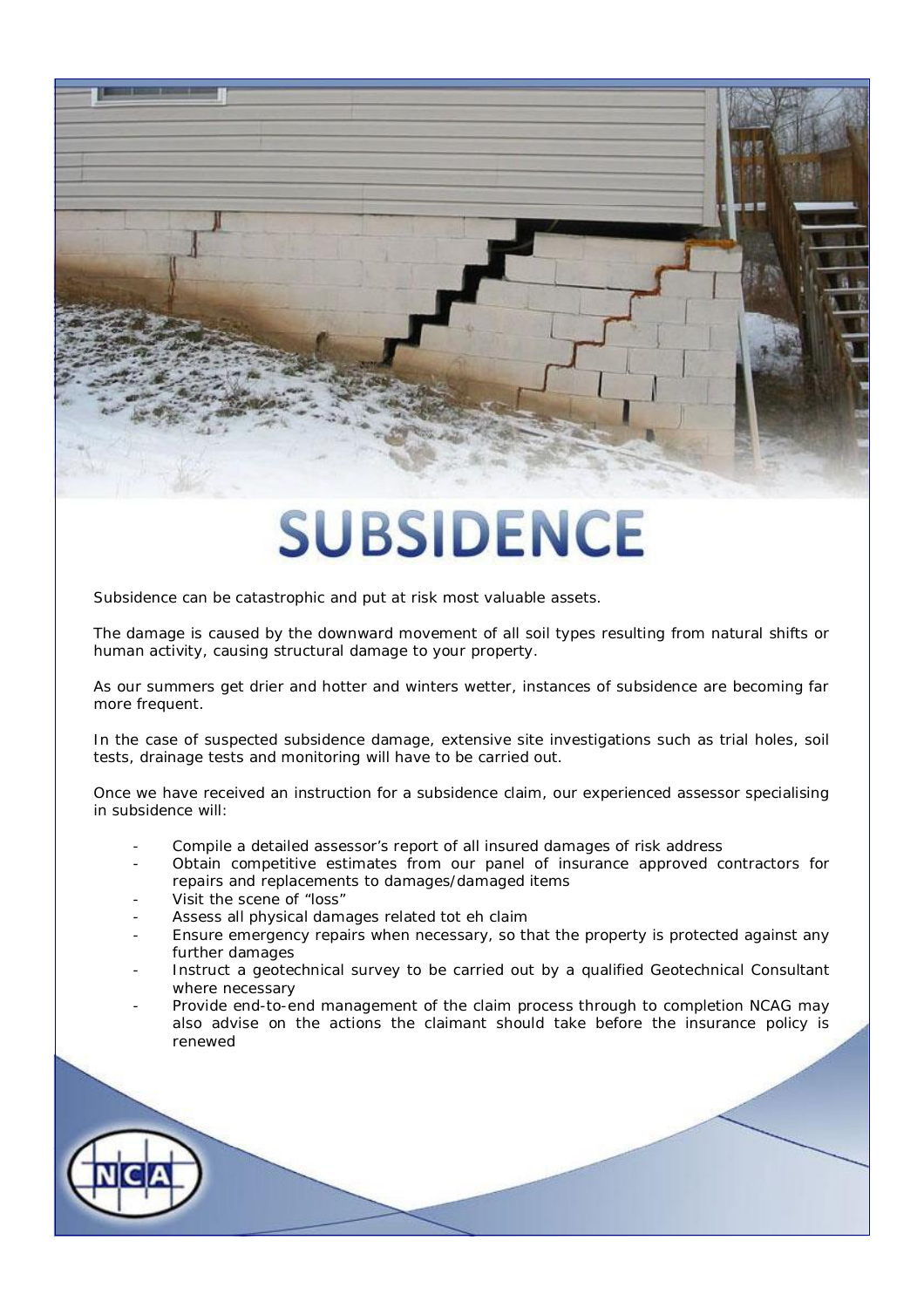# **SUBSIDENCE**

Subsidence can be catastrophic and put at risk most valuable assets.

The damage is caused by the downward movement of all soil types resulting from natural shifts or human activity, causing structural damage to your property.

As our summers get drier and hotter and winters wetter, instances of subsidence are becoming far more frequent.

In the case of suspected subsidence damage, extensive site investigations such as trial holes, soil tests, drainage tests and monitoring will have to be carried out.

Once we have received an instruction for a subsidence claim, our experienced assessor specialising in subsidence will:

- Compile a detailed assessor's report of all insured damages of risk address
- Obtain competitive estimates from our panel of insurance approved contractors for repairs and replacements to damages/damaged items
- Visit the scene of "loss"
- Assess all physical damages related tot eh claim
- Ensure emergency repairs when necessary, so that the property is protected against any further damages
- Instruct a geotechnical survey to be carried out by a qualified Geotechnical Consultant where necessary
- Provide end-to-end management of the claim process through to completion NCAG may also advise on the actions the claimant should take before the insurance policy is renewed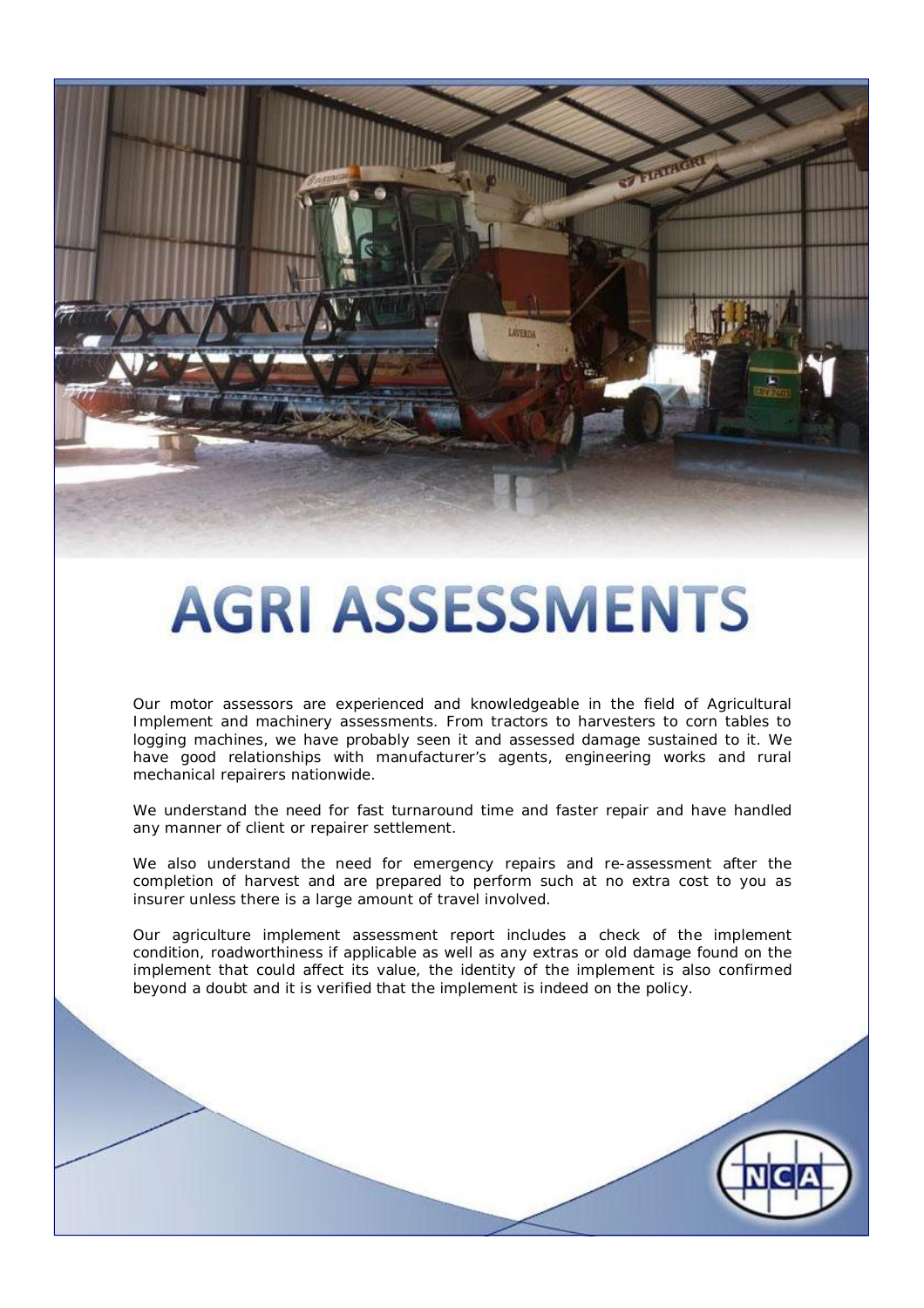

# **AGRI ASSESSMENTS**

Our motor assessors are experienced and knowledgeable in the field of Agricultural Implement and machinery assessments. From tractors to harvesters to corn tables to logging machines, we have probably seen it and assessed damage sustained to it. We have good relationships with manufacturer's agents, engineering works and rural mechanical repairers nationwide.

We understand the need for fast turnaround time and faster repair and have handled any manner of client or repairer settlement.

We also understand the need for emergency repairs and re-assessment after the completion of harvest and are prepared to perform such at no extra cost to you as insurer unless there is a large amount of travel involved.

Our agriculture implement assessment report includes a check of the implement condition, roadworthiness if applicable as well as any extras or old damage found on the implement that could affect its value, the identity of the implement is also confirmed beyond a doubt and it is verified that the implement is indeed on the policy.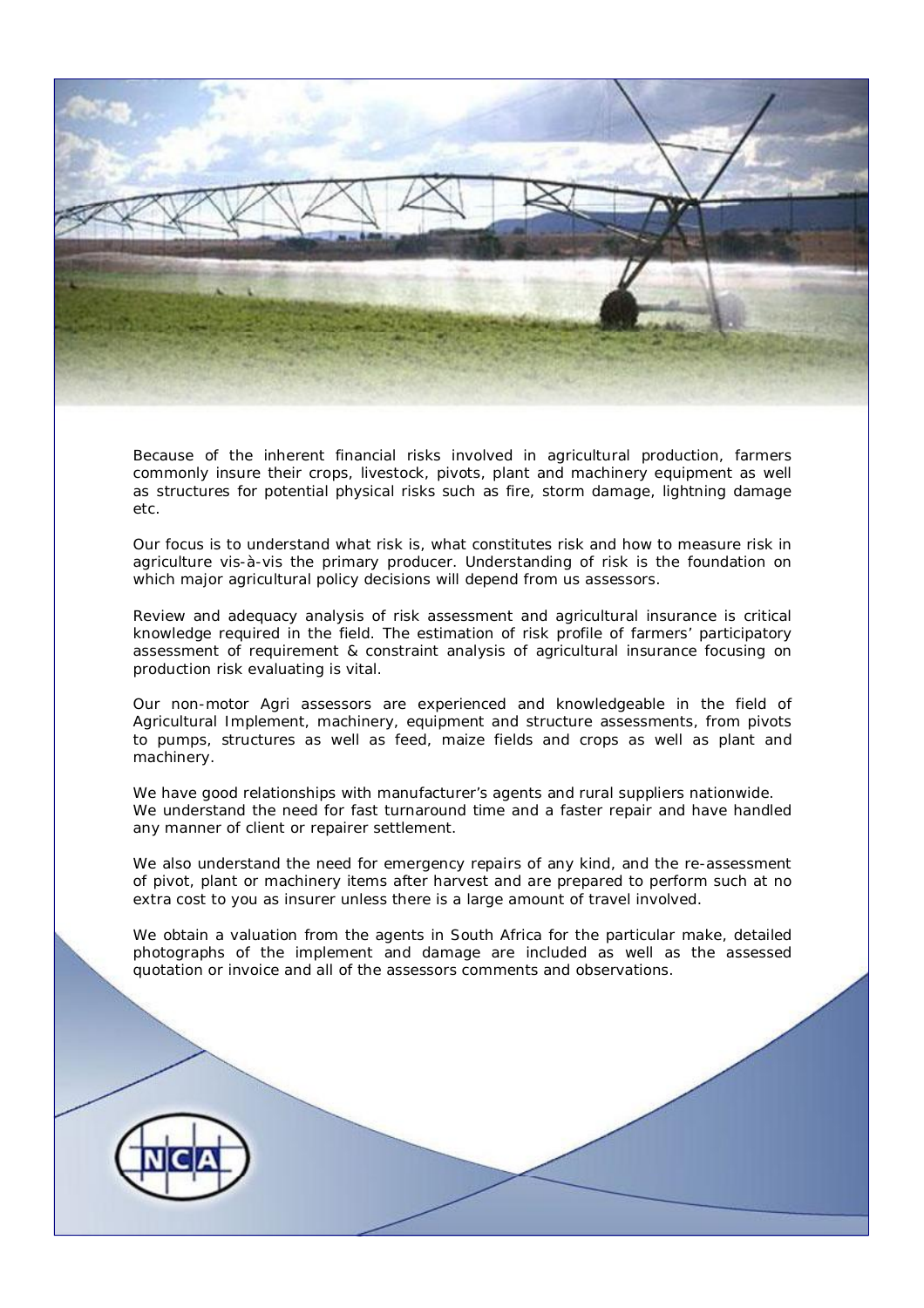

Because of the inherent financial risks involved in agricultural production, farmers commonly insure their crops, livestock, pivots, plant and machinery equipment as well as structures for potential physical risks such as fire, storm damage, lightning damage etc.

Our focus is to understand what risk is, what constitutes risk and how to measure risk in agriculture vis-à-vis the primary producer. Understanding of risk is the foundation on which major agricultural policy decisions will depend from us assessors.

Review and adequacy analysis of risk assessment and agricultural insurance is critical knowledge required in the field. The estimation of risk profile of farmers' participatory assessment of requirement & constraint analysis of agricultural insurance focusing on production risk evaluating is vital.

Our non-motor Agri assessors are experienced and knowledgeable in the field of Agricultural Implement, machinery, equipment and structure assessments, from pivots to pumps, structures as well as feed, maize fields and crops as well as plant and machinery.

We have good relationships with manufacturer's agents and rural suppliers nationwide. We understand the need for fast turnaround time and a faster repair and have handled any manner of client or repairer settlement.

We also understand the need for emergency repairs of any kind, and the re-assessment of pivot, plant or machinery items after harvest and are prepared to perform such at no extra cost to you as insurer unless there is a large amount of travel involved.

We obtain a valuation from the agents in South Africa for the particular make, detailed photographs of the implement and damage are included as well as the assessed quotation or invoice and all of the assessors comments and observations.

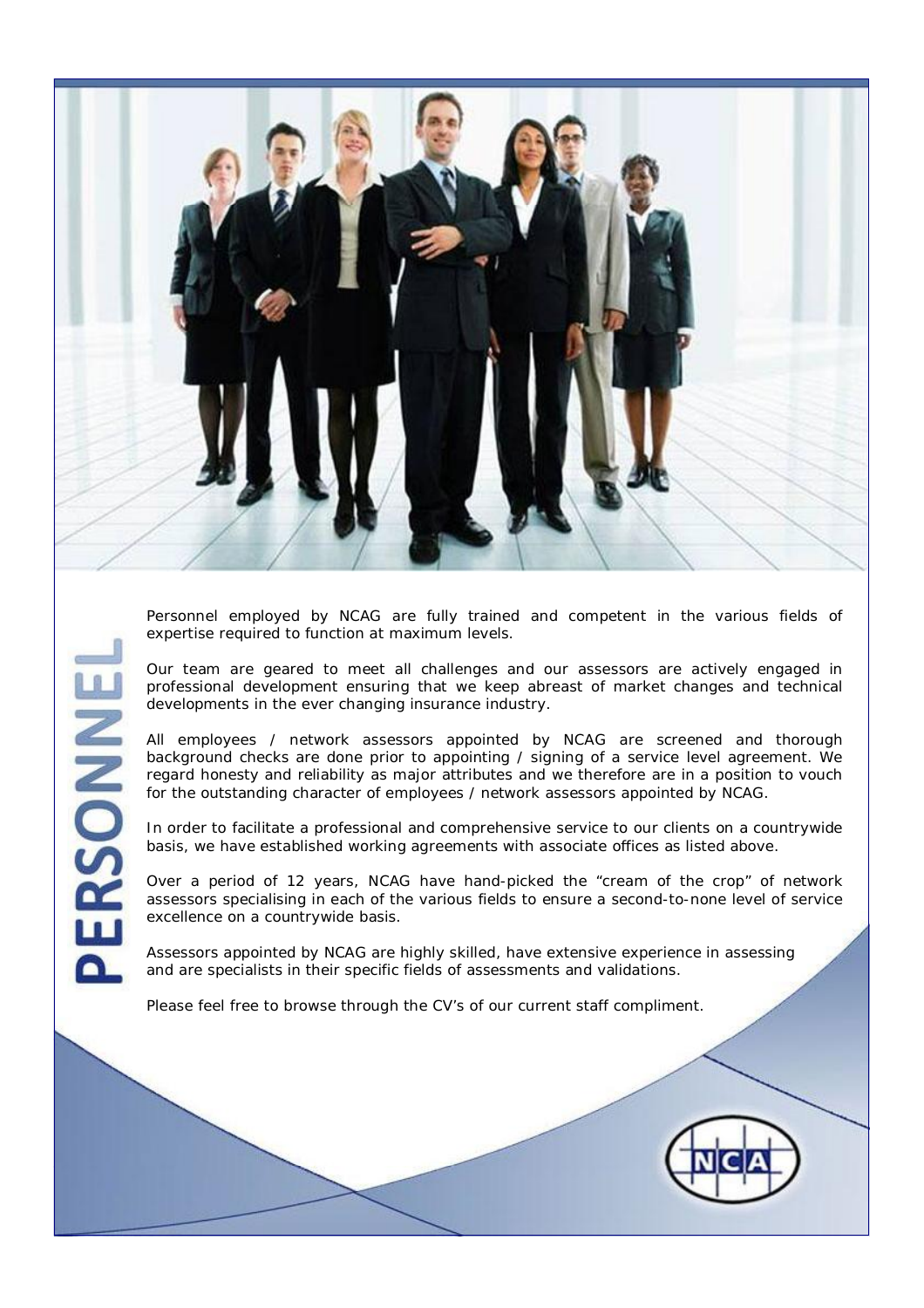

Personnel employed by NCAG are fully trained and competent in the various fields of expertise required to function at maximum levels.

Our team are geared to meet all challenges and our assessors are actively engaged in professional development ensuring that we keep abreast of market changes and technical developments in the ever changing insurance industry.

All employees / network assessors appointed by NCAG are screened and thorough background checks are done prior to appointing / signing of a service level agreement. We regard honesty and reliability as major attributes and we therefore are in a position to vouch for the outstanding character of employees / network assessors appointed by NCAG.

In order to facilitate a professional and comprehensive service to our clients on a countrywide basis, we have established working agreements with associate offices as listed above.

Over a period of 12 years, NCAG have hand-picked the "cream of the crop" of network assessors specialising in each of the various fields to ensure a second-to-none level of service excellence on a countrywide basis.

Assessors appointed by NCAG are highly skilled, have extensive experience in assessing and are specialists in their specific fields of assessments and validations.

Please feel free to browse through the CV's of our current staff compliment.

RSONNE

n

 $\mathbf \Omega$